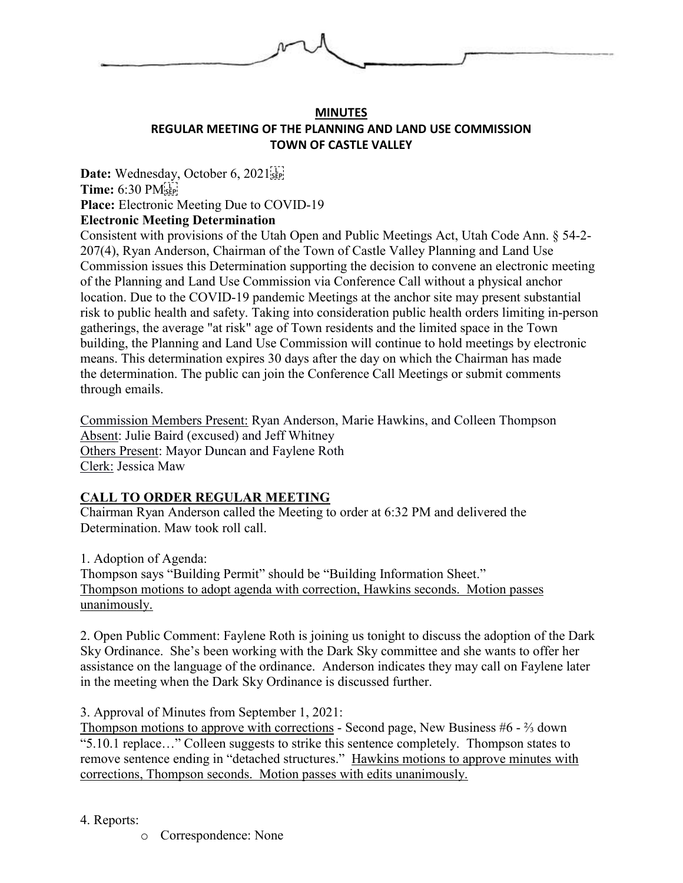

## **MINUTES REGULAR MEETING OF THE PLANNING AND LAND USE COMMISSION TOWN OF CASTLE VALLEY**

**Date:** Wednesday, October 6, 2021 **Time:** 6:30 PM **Place:** Electronic Meeting Due to COVID-19 **Electronic Meeting Determination**

Consistent with provisions of the Utah Open and Public Meetings Act, Utah Code Ann. § 54-2- 207(4), Ryan Anderson, Chairman of the Town of Castle Valley Planning and Land Use Commission issues this Determination supporting the decision to convene an electronic meeting of the Planning and Land Use Commission via Conference Call without a physical anchor location. Due to the COVID-19 pandemic Meetings at the anchor site may present substantial risk to public health and safety. Taking into consideration public health orders limiting in-person gatherings, the average "at risk" age of Town residents and the limited space in the Town building, the Planning and Land Use Commission will continue to hold meetings by electronic means. This determination expires 30 days after the day on which the Chairman has made the determination. The public can join the Conference Call Meetings or submit comments through emails.

Commission Members Present: Ryan Anderson, Marie Hawkins, and Colleen Thompson Absent: Julie Baird (excused) and Jeff Whitney Others Present: Mayor Duncan and Faylene Roth Clerk: Jessica Maw

## **CALL TO ORDER REGULAR MEETING**

Chairman Ryan Anderson called the Meeting to order at 6:32 PM and delivered the Determination. Maw took roll call.

1. Adoption of Agenda:

Thompson says "Building Permit" should be "Building Information Sheet." Thompson motions to adopt agenda with correction, Hawkins seconds. Motion passes unanimously.

2. Open Public Comment: Faylene Roth is joining us tonight to discuss the adoption of the Dark Sky Ordinance. She's been working with the Dark Sky committee and she wants to offer her assistance on the language of the ordinance. Anderson indicates they may call on Faylene later in the meeting when the Dark Sky Ordinance is discussed further.

3. Approval of Minutes from September 1, 2021:

Thompson motions to approve with corrections - Second page, New Business #6 - ⅔ down "5.10.1 replace…" Colleen suggests to strike this sentence completely. Thompson states to remove sentence ending in "detached structures." Hawkins motions to approve minutes with corrections, Thompson seconds. Motion passes with edits unanimously.

4. Reports:

o Correspondence: None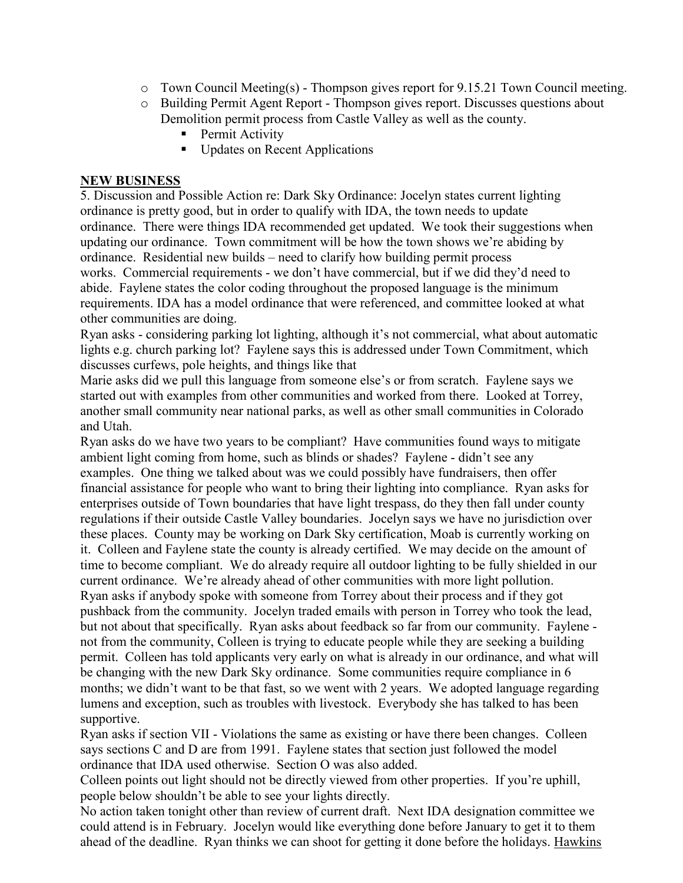- $\circ$  Town Council Meeting(s) Thompson gives report for 9.15.21 Town Council meeting.
- o Building Permit Agent Report Thompson gives report. Discusses questions about Demolition permit process from Castle Valley as well as the county.
	- Permit Activity
	- Updates on Recent Applications

## **NEW BUSINESS**

5. Discussion and Possible Action re: Dark Sky Ordinance: Jocelyn states current lighting ordinance is pretty good, but in order to qualify with IDA, the town needs to update ordinance. There were things IDA recommended get updated. We took their suggestions when updating our ordinance. Town commitment will be how the town shows we're abiding by ordinance. Residential new builds – need to clarify how building permit process works. Commercial requirements - we don't have commercial, but if we did they'd need to abide. Faylene states the color coding throughout the proposed language is the minimum requirements. IDA has a model ordinance that were referenced, and committee looked at what other communities are doing.

Ryan asks - considering parking lot lighting, although it's not commercial, what about automatic lights e.g. church parking lot? Faylene says this is addressed under Town Commitment, which discusses curfews, pole heights, and things like that

Marie asks did we pull this language from someone else's or from scratch. Faylene says we started out with examples from other communities and worked from there. Looked at Torrey, another small community near national parks, as well as other small communities in Colorado and Utah.

Ryan asks do we have two years to be compliant? Have communities found ways to mitigate ambient light coming from home, such as blinds or shades? Faylene - didn't see any examples. One thing we talked about was we could possibly have fundraisers, then offer financial assistance for people who want to bring their lighting into compliance. Ryan asks for enterprises outside of Town boundaries that have light trespass, do they then fall under county regulations if their outside Castle Valley boundaries. Jocelyn says we have no jurisdiction over these places. County may be working on Dark Sky certification, Moab is currently working on it. Colleen and Faylene state the county is already certified. We may decide on the amount of time to become compliant. We do already require all outdoor lighting to be fully shielded in our current ordinance. We're already ahead of other communities with more light pollution. Ryan asks if anybody spoke with someone from Torrey about their process and if they got pushback from the community. Jocelyn traded emails with person in Torrey who took the lead, but not about that specifically. Ryan asks about feedback so far from our community. Faylene not from the community, Colleen is trying to educate people while they are seeking a building permit. Colleen has told applicants very early on what is already in our ordinance, and what will be changing with the new Dark Sky ordinance. Some communities require compliance in 6 months; we didn't want to be that fast, so we went with 2 years. We adopted language regarding lumens and exception, such as troubles with livestock. Everybody she has talked to has been supportive.

Ryan asks if section VII - Violations the same as existing or have there been changes. Colleen says sections C and D are from 1991. Faylene states that section just followed the model ordinance that IDA used otherwise. Section O was also added.

Colleen points out light should not be directly viewed from other properties. If you're uphill, people below shouldn't be able to see your lights directly.

No action taken tonight other than review of current draft. Next IDA designation committee we could attend is in February. Jocelyn would like everything done before January to get it to them ahead of the deadline. Ryan thinks we can shoot for getting it done before the holidays. Hawkins